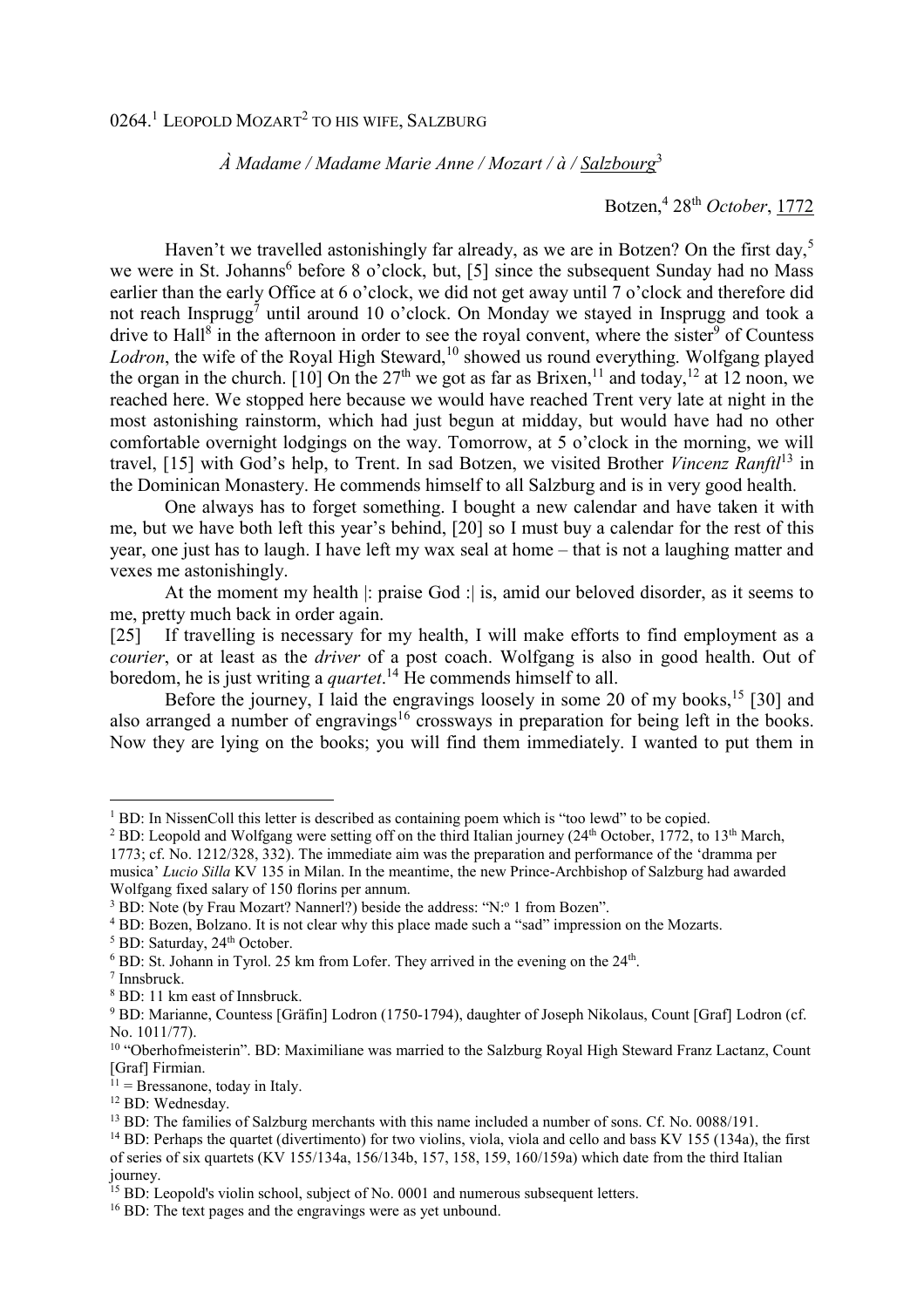## *À Madame / Madame Marie Anne / Mozart / à / Salzbourg*<sup>3</sup>

Botzen,<sup>4</sup> 28th *October*, 1772

Haven't we travelled astonishingly far already, as we are in Botzen? On the first day,<sup>5</sup> we were in St. Johanns<sup>6</sup> before 8 o'clock, but, [5] since the subsequent Sunday had no Mass earlier than the early Office at 6 o'clock, we did not get away until 7 o'clock and therefore did not reach Insprugg<sup>7</sup> until around 10 o'clock. On Monday we stayed in Insprugg and took a drive to Hall<sup>8</sup> in the afternoon in order to see the royal convent, where the sister<sup>9</sup> of Countess Lodron, the wife of the Royal High Steward,<sup>10</sup> showed us round everything. Wolfgang played the organ in the church. [10] On the  $27<sup>th</sup>$  we got as far as Brixen,<sup>11</sup> and today,<sup>12</sup> at 12 noon, we reached here. We stopped here because we would have reached Trent very late at night in the most astonishing rainstorm, which had just begun at midday, but would have had no other comfortable overnight lodgings on the way. Tomorrow, at 5 o'clock in the morning, we will travel, [15] with God's help, to Trent. In sad Botzen, we visited Brother *Vincenz Ranftl*<sup>13</sup> in the Dominican Monastery. He commends himself to all Salzburg and is in very good health.

 One always has to forget something. I bought a new calendar and have taken it with me, but we have both left this year's behind, [20] so I must buy a calendar for the rest of this year, one just has to laugh. I have left my wax seal at home – that is not a laughing matter and vexes me astonishingly.

 At the moment my health |: praise God :| is, amid our beloved disorder, as it seems to me, pretty much back in order again.

[25] If travelling is necessary for my health, I will make efforts to find employment as a *courier*, or at least as the *driver* of a post coach. Wolfgang is also in good health. Out of boredom, he is just writing a *quartet*. <sup>14</sup> He commends himself to all.

Before the journey, I laid the engravings loosely in some 20 of my books,<sup>15</sup> [30] and also arranged a number of engravings<sup>16</sup> crossways in preparation for being left in the books. Now they are lying on the books; you will find them immediately. I wanted to put them in

<sup>5</sup> BD: Saturday, 24<sup>th</sup> October.

 $\overline{a}$ 

8 BD: 11 km east of Innsbruck.

<sup>&</sup>lt;sup>1</sup> BD: In NissenColl this letter is described as containing poem which is "too lewd" to be copied.

<sup>&</sup>lt;sup>2</sup> BD: Leopold and Wolfgang were setting off on the third Italian journey (24<sup>th</sup> October, 1772, to 13<sup>th</sup> March,

<sup>1773;</sup> cf. No. 1212/328, 332). The immediate aim was the preparation and performance of the 'dramma per musica' *Lucio Silla* KV 135 in Milan. In the meantime, the new Prince-Archbishop of Salzburg had awarded Wolfgang fixed salary of 150 florins per annum.

<sup>&</sup>lt;sup>3</sup> BD: Note (by Frau Mozart? Nannerl?) beside the address: "N:<sup>o</sup> 1 from Bozen".

<sup>4</sup> BD: Bozen, Bolzano. It is not clear why this place made such a "sad" impression on the Mozarts.

 $6$  BD: St. Johann in Tyrol. 25 km from Lofer. They arrived in the evening on the  $24<sup>th</sup>$ .

<sup>7</sup> Innsbruck.

<sup>&</sup>lt;sup>9</sup> BD: Marianne, Countess [Gräfin] Lodron (1750-1794), daughter of Joseph Nikolaus, Count [Graf] Lodron (cf. No. 1011/77).

<sup>&</sup>lt;sup>10</sup> "Oberhofmeisterin". BD: Maximiliane was married to the Salzburg Royal High Steward Franz Lactanz, Count [Graf] Firmian.

 $11 =$ Bressanone, today in Italy.

<sup>12</sup> BD: Wednesday.

<sup>&</sup>lt;sup>13</sup> BD: The families of Salzburg merchants with this name included a number of sons. Cf. No. 0088/191.

<sup>&</sup>lt;sup>14</sup> BD: Perhaps the quartet (divertimento) for two violins, viola, viola and cello and bass KV 155 (134a), the first of series of six quartets (KV 155/134a, 156/134b, 157, 158, 159, 160/159a) which date from the third Italian journey.

 $15$  BD: Leopold's violin school, subject of No. 0001 and numerous subsequent letters.

<sup>&</sup>lt;sup>16</sup> BD: The text pages and the engravings were as yet unbound.